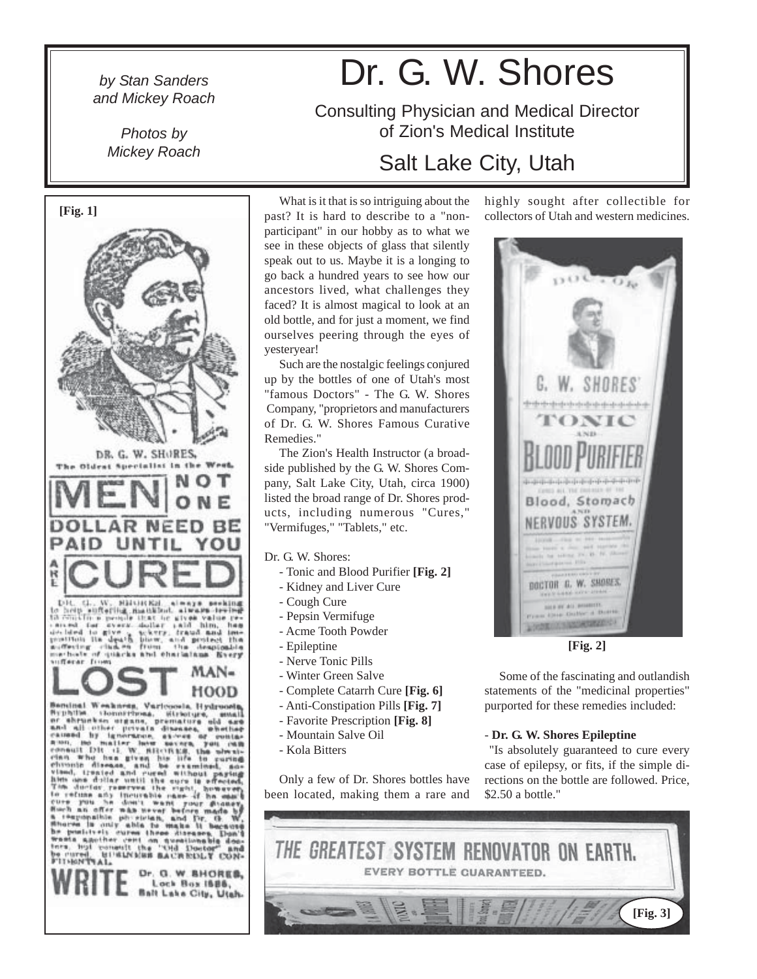## *and Mickey Roach*

*Photos by*

# *by Stan Sanders* Dr. G. W. Shores

Consulting Physician and Medical Director of Zion's Medical Institute

### *Mickey Roach* Salt Lake City, Utah

highly sought after collectible for collectors of Utah and western medicines.





Some of the fascinating and outlandish statements of the "medicinal properties" purported for these remedies included:

#### - **Dr. G. W. Shores Epileptine**

 "Is absolutely guaranteed to cure every case of epilepsy, or fits, if the simple directions on the bottle are followed. Price, \$2.50 a bottle."



**[Fig. 1]**



What is it that is so intriguing about the past? It is hard to describe to a "nonparticipant" in our hobby as to what we see in these objects of glass that silently speak out to us. Maybe it is a longing to go back a hundred years to see how our ancestors lived, what challenges they faced? It is almost magical to look at an old bottle, and for just a moment, we find ourselves peering through the eyes of yesteryear!

Such are the nostalgic feelings conjured up by the bottles of one of Utah's most "famous Doctors" - The G. W. Shores Company, "proprietors and manufacturers of Dr. G. W. Shores Famous Curative Remedies."

The Zion's Health Instructor (a broadside published by the G. W. Shores Company, Salt Lake City, Utah, circa 1900) listed the broad range of Dr. Shores products, including numerous "Cures," "Vermifuges," "Tablets," etc.

#### Dr. G. W. Shores:

- Tonic and Blood Purifier **[Fig. 2]**
- Kidney and Liver Cure
- Cough Cure
- Pepsin Vermifuge
- Acme Tooth Powder
- Epileptine
- Nerve Tonic Pills
- Winter Green Salve
- Complete Catarrh Cure **[Fig. 6]**
- Anti-Constipation Pills **[Fig. 7]**
- Favorite Prescription **[Fig. 8]**
- Mountain Salve Oil
- Kola Bitters

Only a few of Dr. Shores bottles have been located, making them a rare and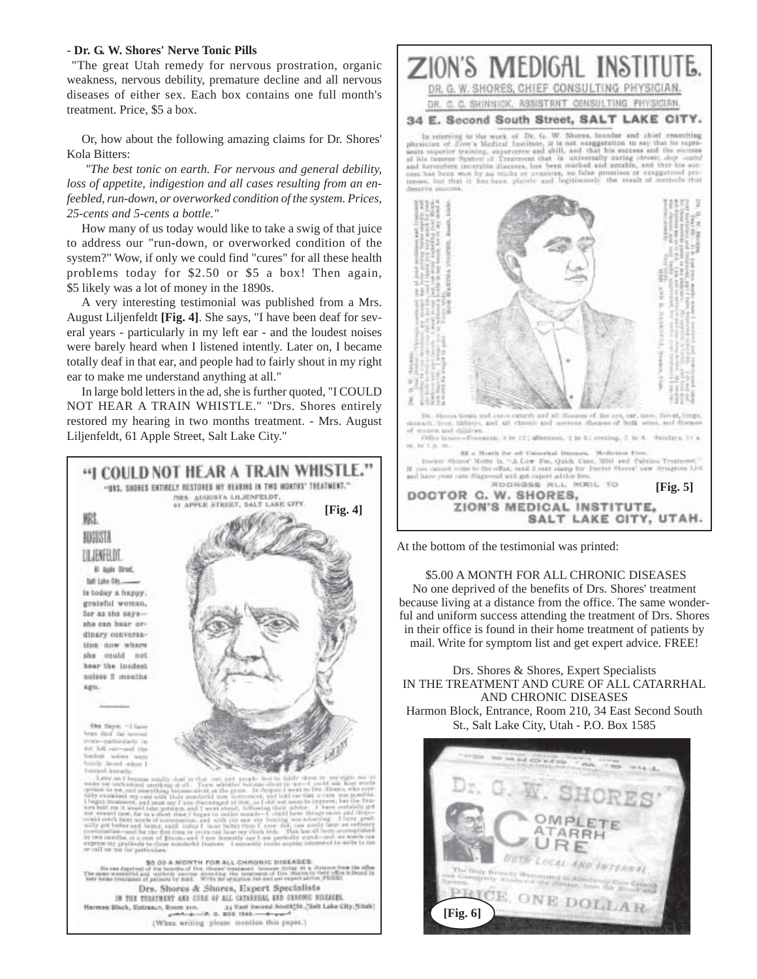#### - **Dr. G. W. Shores' Nerve Tonic Pills**

 "The great Utah remedy for nervous prostration, organic weakness, nervous debility, premature decline and all nervous diseases of either sex. Each box contains one full month's treatment. Price, \$5 a box.

Or, how about the following amazing claims for Dr. Shores' Kola Bitters:

 *"The best tonic on earth. For nervous and general debility, loss of appetite, indigestion and all cases resulting from an enfeebled, run-down, or overworked condition of the system. Prices, 25-cents and 5-cents a bottle."*

How many of us today would like to take a swig of that juice to address our "run-down, or overworked condition of the system?" Wow, if only we could find "cures" for all these health problems today for \$2.50 or \$5 a box! Then again, \$5 likely was a lot of money in the 1890s.

A very interesting testimonial was published from a Mrs. August Liljenfeldt **[Fig. 4]**. She says, "I have been deaf for several years - particularly in my left ear - and the loudest noises were barely heard when I listened intently. Later on, I became totally deaf in that ear, and people had to fairly shout in my right ear to make me understand anything at all."

In large bold letters in the ad, she is further quoted, "I COULD NOT HEAR A TRAIN WHISTLE." "Drs. Shores entirely restored my hearing in two months treatment. - Mrs. August Liljenfeldt, 61 Apple Street, Salt Lake City."





At the bottom of the testimonial was printed:

 \$5.00 A MONTH FOR ALL CHRONIC DISEASES No one deprived of the benefits of Drs. Shores' treatment because living at a distance from the office. The same wonderful and uniform success attending the treatment of Drs. Shores in their office is found in their home treatment of patients by mail. Write for symptom list and get expert advice. FREE!

Drs. Shores & Shores, Expert Specialists IN THE TREATMENT AND CURE OF ALL CATARRHAL AND CHRONIC DISEASES Harmon Block, Entrance, Room 210, 34 East Second South St., Salt Lake City, Utah - P.O. Box 1585